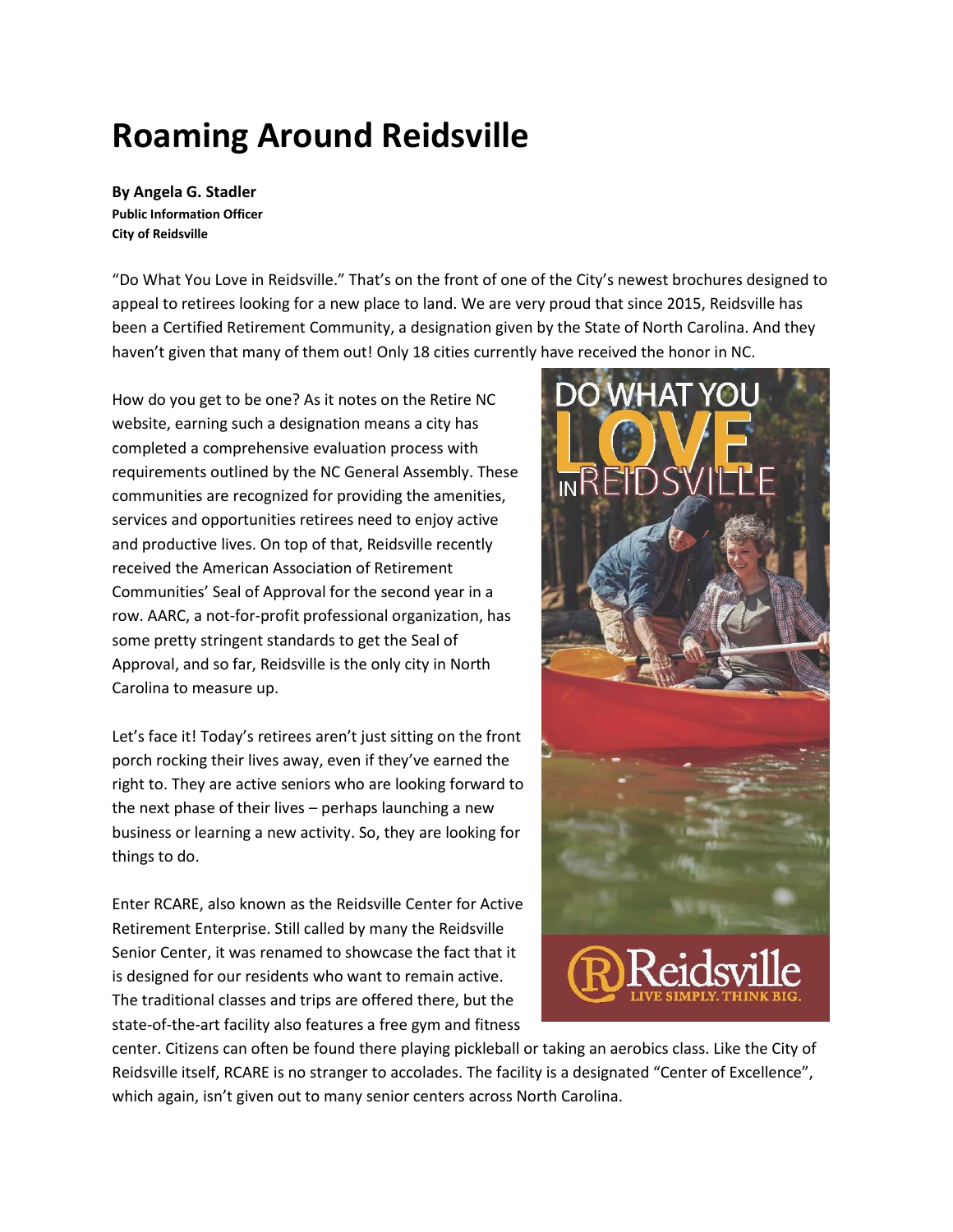## **Roaming Around Reidsville**

**By Angela G. Stadler Public Information Officer City of Reidsville**

"Do What You Love in Reidsville." That's on the front of one of the City's newest brochures designed to appeal to retirees looking for a new place to land. We are very proud that since 2015, Reidsville has been a Certified Retirement Community, a designation given by the State of North Carolina. And they haven't given that many of them out! Only 18 cities currently have received the honor in NC.

How do you get to be one? As it notes on the Retire NC website, earning such a designation means a city has completed a comprehensive evaluation process with requirements outlined by the NC General Assembly. These communities are recognized for providing the amenities, services and opportunities retirees need to enjoy active and productive lives. On top of that, Reidsville recently received the American Association of Retirement Communities' Seal of Approval for the second year in a row. AARC, a not-for-profit professional organization, has some pretty stringent standards to get the Seal of Approval, and so far, Reidsville is the only city in North Carolina to measure up.

Let's face it! Today's retirees aren't just sitting on the front porch rocking their lives away, even if they've earned the right to. They are active seniors who are looking forward to the next phase of their lives – perhaps launching a new business or learning a new activity. So, they are looking for things to do.

Enter RCARE, also known as the Reidsville Center for Active Retirement Enterprise. Still called by many the Reidsville Senior Center, it was renamed to showcase the fact that it is designed for our residents who want to remain active. The traditional classes and trips are offered there, but the state-of-the-art facility also features a free gym and fitness



center. Citizens can often be found there playing pickleball or taking an aerobics class. Like the City of Reidsville itself, RCARE is no stranger to accolades. The facility is a designated "Center of Excellence", which again, isn't given out to many senior centers across North Carolina.